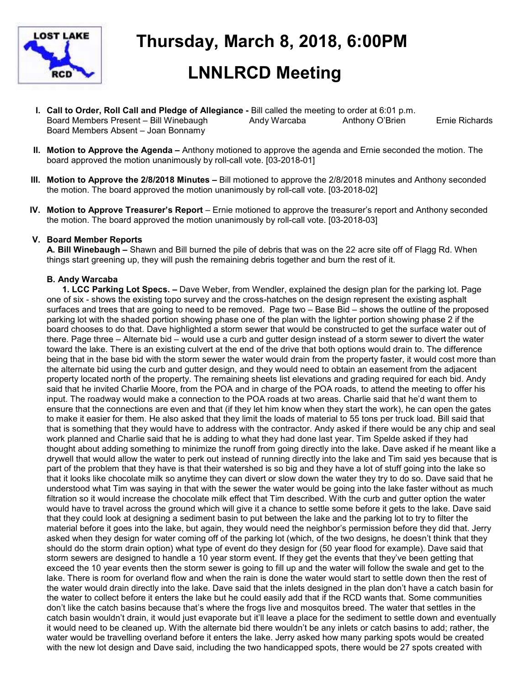

# **Thursday, March 8, 2018, 6:00PM**

# **LNNLRCD Meeting**

- **I. Call to Order, Roll Call and Pledge of Allegiance** Bill called the meeting to order at 6:01 p.m. Board Members Present – Bill Winebaugh Andy Warcaba Anthony O'Brien Ernie Richards Board Members Absent – Joan Bonnamy
- **II. Motion to Approve the Agenda –** Anthony motioned to approve the agenda and Ernie seconded the motion. The board approved the motion unanimously by roll-call vote. [03-2018-01]
- **III. Motion to Approve the 2/8/2018 Minutes** Bill motioned to approve the 2/8/2018 minutes and Anthony seconded the motion. The board approved the motion unanimously by roll-call vote. [03-2018-02]
- **IV. Motion to Approve Treasurer's Report** Ernie motioned to approve the treasurer's report and Anthony seconded the motion. The board approved the motion unanimously by roll-call vote. [03-2018-03]

# **V. Board Member Reports**

**A. Bill Winebaugh –** Shawn and Bill burned the pile of debris that was on the 22 acre site off of Flagg Rd. When things start greening up, they will push the remaining debris together and burn the rest of it.

# **B. Andy Warcaba**

 **1. LCC Parking Lot Specs. –** Dave Weber, from Wendler, explained the design plan for the parking lot. Page one of six - shows the existing topo survey and the cross-hatches on the design represent the existing asphalt surfaces and trees that are going to need to be removed. Page two – Base Bid – shows the outline of the proposed parking lot with the shaded portion showing phase one of the plan with the lighter portion showing phase 2 if the board chooses to do that. Dave highlighted a storm sewer that would be constructed to get the surface water out of there. Page three – Alternate bid – would use a curb and gutter design instead of a storm sewer to divert the water toward the lake. There is an existing culvert at the end of the drive that both options would drain to. The difference being that in the base bid with the storm sewer the water would drain from the property faster, it would cost more than the alternate bid using the curb and gutter design, and they would need to obtain an easement from the adjacent property located north of the property. The remaining sheets list elevations and grading required for each bid. Andy said that he invited Charlie Moore, from the POA and in charge of the POA roads, to attend the meeting to offer his input. The roadway would make a connection to the POA roads at two areas. Charlie said that he'd want them to ensure that the connections are even and that (if they let him know when they start the work), he can open the gates to make it easier for them. He also asked that they limit the loads of material to 55 tons per truck load. Bill said that that is something that they would have to address with the contractor. Andy asked if there would be any chip and seal work planned and Charlie said that he is adding to what they had done last year. Tim Spelde asked if they had thought about adding something to minimize the runoff from going directly into the lake. Dave asked if he meant like a drywell that would allow the water to perk out instead of running directly into the lake and Tim said yes because that is part of the problem that they have is that their watershed is so big and they have a lot of stuff going into the lake so that it looks like chocolate milk so anytime they can divert or slow down the water they try to do so. Dave said that he understood what Tim was saying in that with the sewer the water would be going into the lake faster without as much filtration so it would increase the chocolate milk effect that Tim described. With the curb and gutter option the water would have to travel across the ground which will give it a chance to settle some before it gets to the lake. Dave said that they could look at designing a sediment basin to put between the lake and the parking lot to try to filter the material before it goes into the lake, but again, they would need the neighbor's permission before they did that. Jerry asked when they design for water coming off of the parking lot (which, of the two designs, he doesn't think that they should do the storm drain option) what type of event do they design for (50 year flood for example). Dave said that storm sewers are designed to handle a 10 year storm event. If they get the events that they've been getting that exceed the 10 year events then the storm sewer is going to fill up and the water will follow the swale and get to the lake. There is room for overland flow and when the rain is done the water would start to settle down then the rest of the water would drain directly into the lake. Dave said that the inlets designed in the plan don't have a catch basin for the water to collect before it enters the lake but he could easily add that if the RCD wants that. Some communities don't like the catch basins because that's where the frogs live and mosquitos breed. The water that settles in the catch basin wouldn't drain, it would just evaporate but it'll leave a place for the sediment to settle down and eventually it would need to be cleaned up. With the alternate bid there wouldn't be any inlets or catch basins to add; rather, the water would be travelling overland before it enters the lake. Jerry asked how many parking spots would be created with the new lot design and Dave said, including the two handicapped spots, there would be 27 spots created with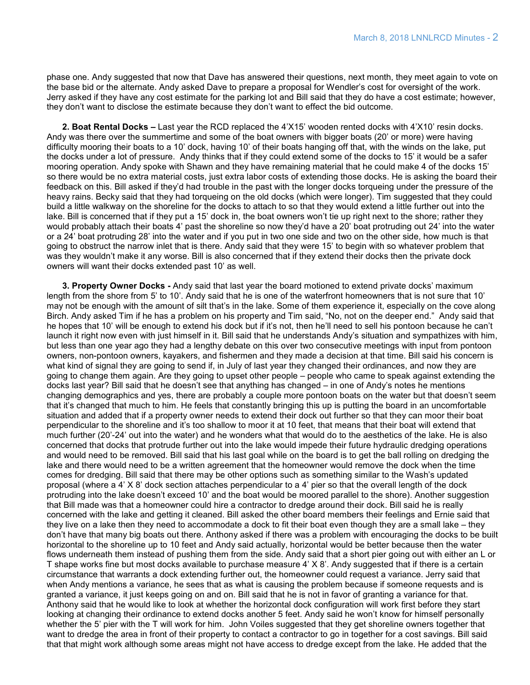phase one. Andy suggested that now that Dave has answered their questions, next month, they meet again to vote on the base bid or the alternate. Andy asked Dave to prepare a proposal for Wendler's cost for oversight of the work. Jerry asked if they have any cost estimate for the parking lot and Bill said that they do have a cost estimate; however, they don't want to disclose the estimate because they don't want to effect the bid outcome.

 **2. Boat Rental Docks –** Last year the RCD replaced the 4'X15' wooden rented docks with 4'X10' resin docks. Andy was there over the summertime and some of the boat owners with bigger boats (20' or more) were having difficulty mooring their boats to a 10' dock, having 10' of their boats hanging off that, with the winds on the lake, put the docks under a lot of pressure. Andy thinks that if they could extend some of the docks to 15' it would be a safer mooring operation. Andy spoke with Shawn and they have remaining material that he could make 4 of the docks 15' so there would be no extra material costs, just extra labor costs of extending those docks. He is asking the board their feedback on this. Bill asked if they'd had trouble in the past with the longer docks torqueing under the pressure of the heavy rains. Becky said that they had torqueing on the old docks (which were longer). Tim suggested that they could build a little walkway on the shoreline for the docks to attach to so that they would extend a little further out into the lake. Bill is concerned that if they put a 15' dock in, the boat owners won't tie up right next to the shore; rather they would probably attach their boats 4' past the shoreline so now they'd have a 20' boat protruding out 24' into the water or a 24' boat protruding 28' into the water and if you put in two one side and two on the other side, how much is that going to obstruct the narrow inlet that is there. Andy said that they were 15' to begin with so whatever problem that was they wouldn't make it any worse. Bill is also concerned that if they extend their docks then the private dock owners will want their docks extended past 10' as well.

 **3. Property Owner Docks -** Andy said that last year the board motioned to extend private docks' maximum length from the shore from 5' to 10'. Andy said that he is one of the waterfront homeowners that is not sure that 10' may not be enough with the amount of silt that's in the lake. Some of them experience it, especially on the cove along Birch. Andy asked Tim if he has a problem on his property and Tim said, "No, not on the deeper end." Andy said that he hopes that 10' will be enough to extend his dock but if it's not, then he'll need to sell his pontoon because he can't launch it right now even with just himself in it. Bill said that he understands Andy's situation and sympathizes with him, but less than one year ago they had a lengthy debate on this over two consecutive meetings with input from pontoon owners, non-pontoon owners, kayakers, and fishermen and they made a decision at that time. Bill said his concern is what kind of signal they are going to send if, in July of last year they changed their ordinances, and now they are going to change them again. Are they going to upset other people – people who came to speak against extending the docks last year? Bill said that he doesn't see that anything has changed – in one of Andy's notes he mentions changing demographics and yes, there are probably a couple more pontoon boats on the water but that doesn't seem that it's changed that much to him. He feels that constantly bringing this up is putting the board in an uncomfortable situation and added that if a property owner needs to extend their dock out further so that they can moor their boat perpendicular to the shoreline and it's too shallow to moor it at 10 feet, that means that their boat will extend that much further (20'-24' out into the water) and he wonders what that would do to the aesthetics of the lake. He is also concerned that docks that protrude further out into the lake would impede their future hydraulic dredging operations and would need to be removed. Bill said that his last goal while on the board is to get the ball rolling on dredging the lake and there would need to be a written agreement that the homeowner would remove the dock when the time comes for dredging. Bill said that there may be other options such as something similar to the Wash's updated proposal (where a 4' X 8' dock section attaches perpendicular to a 4' pier so that the overall length of the dock protruding into the lake doesn't exceed 10' and the boat would be moored parallel to the shore). Another suggestion that Bill made was that a homeowner could hire a contractor to dredge around their dock. Bill said he is really concerned with the lake and getting it cleaned. Bill asked the other board members their feelings and Ernie said that they live on a lake then they need to accommodate a dock to fit their boat even though they are a small lake – they don't have that many big boats out there. Anthony asked if there was a problem with encouraging the docks to be built horizontal to the shoreline up to 10 feet and Andy said actually, horizontal would be better because then the water flows underneath them instead of pushing them from the side. Andy said that a short pier going out with either an L or T shape works fine but most docks available to purchase measure 4' X 8'. Andy suggested that if there is a certain circumstance that warrants a dock extending further out, the homeowner could request a variance. Jerry said that when Andy mentions a variance, he sees that as what is causing the problem because if someone requests and is granted a variance, it just keeps going on and on. Bill said that he is not in favor of granting a variance for that. Anthony said that he would like to look at whether the horizontal dock configuration will work first before they start looking at changing their ordinance to extend docks another 5 feet. Andy said he won't know for himself personally whether the 5' pier with the T will work for him. John Voiles suggested that they get shoreline owners together that want to dredge the area in front of their property to contact a contractor to go in together for a cost savings. Bill said that that might work although some areas might not have access to dredge except from the lake. He added that the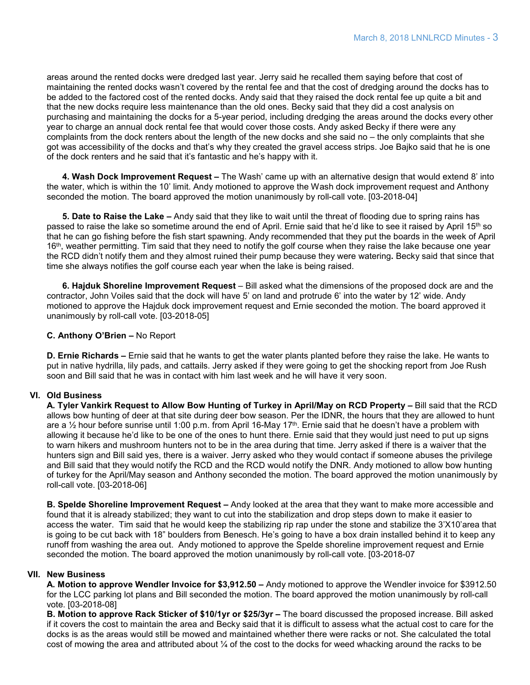areas around the rented docks were dredged last year. Jerry said he recalled them saying before that cost of maintaining the rented docks wasn't covered by the rental fee and that the cost of dredging around the docks has to be added to the factored cost of the rented docks. Andy said that they raised the dock rental fee up quite a bit and that the new docks require less maintenance than the old ones. Becky said that they did a cost analysis on purchasing and maintaining the docks for a 5-year period, including dredging the areas around the docks every other year to charge an annual dock rental fee that would cover those costs. Andy asked Becky if there were any complaints from the dock renters about the length of the new docks and she said no – the only complaints that she got was accessibility of the docks and that's why they created the gravel access strips. Joe Bajko said that he is one of the dock renters and he said that it's fantastic and he's happy with it.

 **4. Wash Dock Improvement Request –** The Wash' came up with an alternative design that would extend 8' into the water, which is within the 10' limit. Andy motioned to approve the Wash dock improvement request and Anthony seconded the motion. The board approved the motion unanimously by roll-call vote. [03-2018-04]

 **5. Date to Raise the Lake –** Andy said that they like to wait until the threat of flooding due to spring rains has passed to raise the lake so sometime around the end of April. Ernie said that he'd like to see it raised by April 15th so that he can go fishing before the fish start spawning. Andy recommended that they put the boards in the week of April 16<sup>th</sup>, weather permitting. Tim said that they need to notify the golf course when they raise the lake because one year the RCD didn't notify them and they almost ruined their pump because they were watering**.** Becky said that since that time she always notifies the golf course each year when the lake is being raised.

 **6. Hajduk Shoreline Improvement Request** – Bill asked what the dimensions of the proposed dock are and the contractor, John Voiles said that the dock will have 5' on land and protrude 6' into the water by 12' wide. Andy motioned to approve the Hajduk dock improvement request and Ernie seconded the motion. The board approved it unanimously by roll-call vote. [03-2018-05]

#### **C. Anthony O'Brien –** No Report

**D. Ernie Richards –** Ernie said that he wants to get the water plants planted before they raise the lake. He wants to put in native hydrilla, lily pads, and cattails. Jerry asked if they were going to get the shocking report from Joe Rush soon and Bill said that he was in contact with him last week and he will have it very soon.

# **VI. Old Business**

**A. Tyler Vankirk Request to Allow Bow Hunting of Turkey in April/May on RCD Property –** Bill said that the RCD allows bow hunting of deer at that site during deer bow season. Per the IDNR, the hours that they are allowed to hunt are a ½ hour before sunrise until 1:00 p.m. from April 16-May 17th . Ernie said that he doesn't have a problem with allowing it because he'd like to be one of the ones to hunt there. Ernie said that they would just need to put up signs to warn hikers and mushroom hunters not to be in the area during that time. Jerry asked if there is a waiver that the hunters sign and Bill said yes, there is a waiver. Jerry asked who they would contact if someone abuses the privilege and Bill said that they would notify the RCD and the RCD would notify the DNR. Andy motioned to allow bow hunting of turkey for the April/May season and Anthony seconded the motion. The board approved the motion unanimously by roll-call vote. [03-2018-06]

**B. Spelde Shoreline Improvement Request –** Andy looked at the area that they want to make more accessible and found that it is already stabilized; they want to cut into the stabilization and drop steps down to make it easier to access the water. Tim said that he would keep the stabilizing rip rap under the stone and stabilize the 3'X10'area that is going to be cut back with 18" boulders from Benesch. He's going to have a box drain installed behind it to keep any runoff from washing the area out. Andy motioned to approve the Spelde shoreline improvement request and Ernie seconded the motion. The board approved the motion unanimously by roll-call vote. [03-2018-07

#### **VII. New Business**

**A. Motion to approve Wendler Invoice for \$3,912.50 –** Andy motioned to approve the Wendler invoice for \$3912.50 for the LCC parking lot plans and Bill seconded the motion. The board approved the motion unanimously by roll-call vote. [03-2018-08]

**B. Motion to approve Rack Sticker of \$10/1yr or \$25/3yr –** The board discussed the proposed increase. Bill asked if it covers the cost to maintain the area and Becky said that it is difficult to assess what the actual cost to care for the docks is as the areas would still be mowed and maintained whether there were racks or not. She calculated the total cost of mowing the area and attributed about ¼ of the cost to the docks for weed whacking around the racks to be